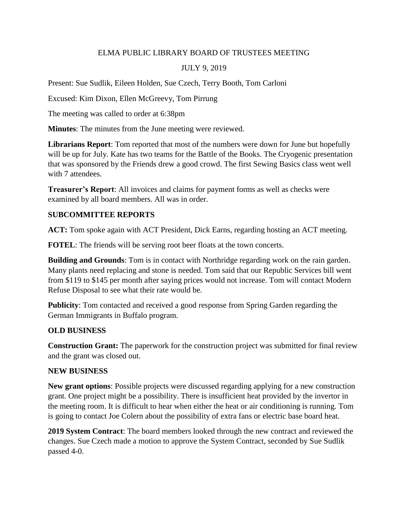# ELMA PUBLIC LIBRARY BOARD OF TRUSTEES MEETING

### JULY 9, 2019

Present: Sue Sudlik, Eileen Holden, Sue Czech, Terry Booth, Tom Carloni

Excused: Kim Dixon, Ellen McGreevy, Tom Pirrung

The meeting was called to order at 6:38pm

**Minutes**: The minutes from the June meeting were reviewed.

**Librarians Report**: Tom reported that most of the numbers were down for June but hopefully will be up for July. Kate has two teams for the Battle of the Books. The Cryogenic presentation that was sponsored by the Friends drew a good crowd. The first Sewing Basics class went well with 7 attendees.

**Treasurer's Report**: All invoices and claims for payment forms as well as checks were examined by all board members. All was in order.

# **SUBCOMMITTEE REPORTS**

**ACT:** Tom spoke again with ACT President, Dick Earns, regarding hosting an ACT meeting.

**FOTEL**: The friends will be serving root beer floats at the town concerts.

**Building and Grounds**: Tom is in contact with Northridge regarding work on the rain garden. Many plants need replacing and stone is needed. Tom said that our Republic Services bill went from \$119 to \$145 per month after saying prices would not increase. Tom will contact Modern Refuse Disposal to see what their rate would be.

**Publicity**: Tom contacted and received a good response from Spring Garden regarding the German Immigrants in Buffalo program.

# **OLD BUSINESS**

**Construction Grant:** The paperwork for the construction project was submitted for final review and the grant was closed out.

#### **NEW BUSINESS**

**New grant options**: Possible projects were discussed regarding applying for a new construction grant. One project might be a possibility. There is insufficient heat provided by the invertor in the meeting room. It is difficult to hear when either the heat or air conditioning is running. Tom is going to contact Joe Colern about the possibility of extra fans or electric base board heat.

**2019 System Contract**: The board members looked through the new contract and reviewed the changes. Sue Czech made a motion to approve the System Contract, seconded by Sue Sudlik passed 4-0.